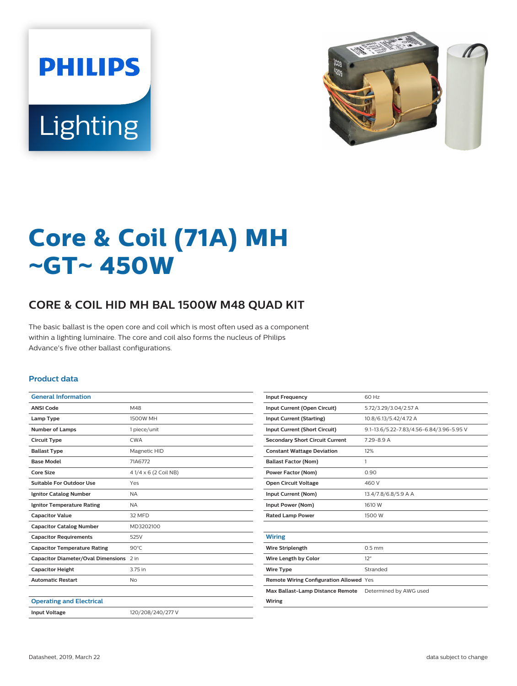



# **Core & Coil (71A) MH** ~**GT**~ **450W**

## **CORE & COIL HID MH BAL 1500W M48 QUAD KIT**

The basic ballast is the open core and coil which is most often used as a component within a lighting luminaire. The core and coil also forms the nucleus of Philips Advance's five other ballast configurations.

#### **Product data**

| <b>General Information</b>              |                      |
|-----------------------------------------|----------------------|
| <b>ANSI Code</b>                        | M48                  |
| Lamp Type                               | 1500W MH             |
| <b>Number of Lamps</b>                  | 1 piece/unit         |
| <b>Circuit Type</b>                     | <b>CWA</b>           |
| <b>Ballast Type</b>                     | Magnetic HID         |
| <b>Base Model</b>                       | 71A6772              |
| Core Size                               | 41/4 x 6 (2 Coil NB) |
| Suitable For Outdoor Use                | Yes                  |
| <b>Ignitor Catalog Number</b>           | <b>NA</b>            |
| <b>Ignitor Temperature Rating</b>       | <b>NA</b>            |
| <b>Capacitor Value</b>                  | 32 MFD               |
| <b>Capacitor Catalog Number</b>         | MD3202100            |
| <b>Capacitor Requirements</b>           | 525V                 |
| <b>Capacitor Temperature Rating</b>     | $90^{\circ}$ C       |
| Capacitor Diameter/Oval Dimensions 2 in |                      |
| <b>Capacitor Height</b>                 | 3.75 in              |
| <b>Automatic Restart</b>                | No                   |
|                                         |                      |
| <b>Operating and Electrical</b>         |                      |
| <b>Input Voltage</b>                    | 120/208/240/277 V    |
|                                         |                      |

| <b>Input Frequency</b>                  | 60 Hz                                    |
|-----------------------------------------|------------------------------------------|
| Input Current (Open Circuit)            | 5.72/3.29/3.04/2.57 A                    |
| <b>Input Current (Starting)</b>         | 10.8/6.13/5.42/4.72 A                    |
| <b>Input Current (Short Circuit)</b>    | 9.1-13.6/5.22-7.83/4.56-6.84/3.96-5.95 V |
| <b>Secondary Short Circuit Current</b>  | $7.29 - 8.9 A$                           |
| <b>Constant Wattage Deviation</b>       | 12%                                      |
| <b>Ballast Factor (Nom)</b>             | 1                                        |
| <b>Power Factor (Nom)</b>               | 0.90                                     |
| <b>Open Circuit Voltage</b>             | 460 V                                    |
| Input Current (Nom)                     | 13.4/7.8/6.8/5.9 A A                     |
| Input Power (Nom)                       | 1610 W                                   |
| <b>Rated Lamp Power</b>                 | 1500 W                                   |
|                                         |                                          |
| <b>Wiring</b>                           |                                          |
| <b>Wire Striplength</b>                 | $0.5$ mm                                 |
| Wire Length by Color                    | 12"                                      |
| <b>Wire Type</b>                        | Stranded                                 |
| Remote Wiring Configuration Allowed Yes |                                          |
| Max Ballast-Lamp Distance Remote        | Determined by AWG used                   |
| Wiring                                  |                                          |
|                                         |                                          |